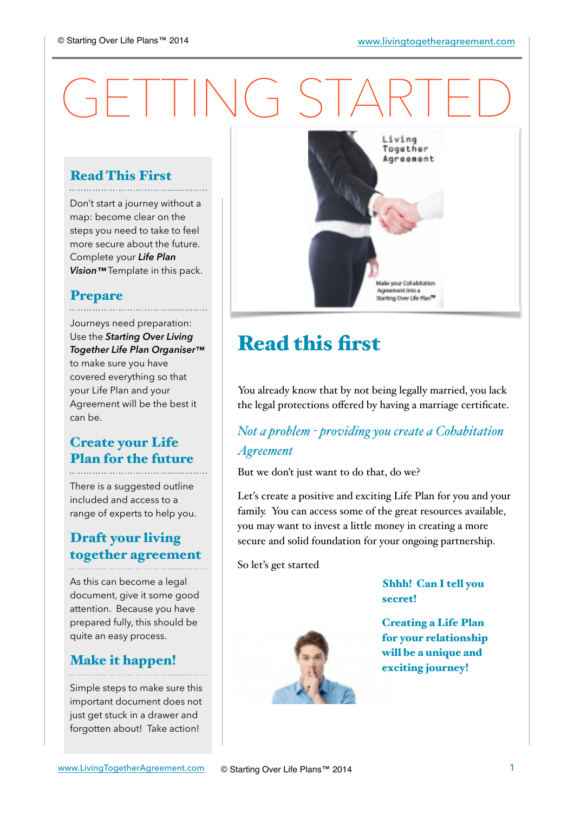# GETTING STARTED

## Read This First

Don't start a journey without a map: become clear on the steps you need to take to feel more secure about the future. Complete your *Life Plan Vision™* Template in this pack.

## Prepare

Journeys need preparation: Use the *Starting Over Living Together Life Plan Organiser™*  to make sure you have covered everything so that your Life Plan and your Agreement will be the best it can be.

## Create your Life Plan for the future

There is a suggested outline included and access to a range of experts to help you.

## Draft your living together agreement

As this can become a legal document, give it some good attention. Because you have prepared fully, this should be quite an easy process.

## Make it happen!

Simple steps to make sure this important document does not just get stuck in a drawer and forgotten about! Take action!



## Read this first

You already know that by not being legally married, you lack the legal protections offered by having a marriage certificate.

## *Not a problem - providing you create a Cohabitation Agreement*

But we don't just want to do that, do we?

Let's create a positive and exciting Life Plan for you and your family. You can access some of the great resources available, you may want to invest a little money in creating a more secure and solid foundation for your ongoing partnership.

So let's get started

Shhh! Can I tell you secret!

Creating a Life Plan for your relationship will be a unique and exciting journey!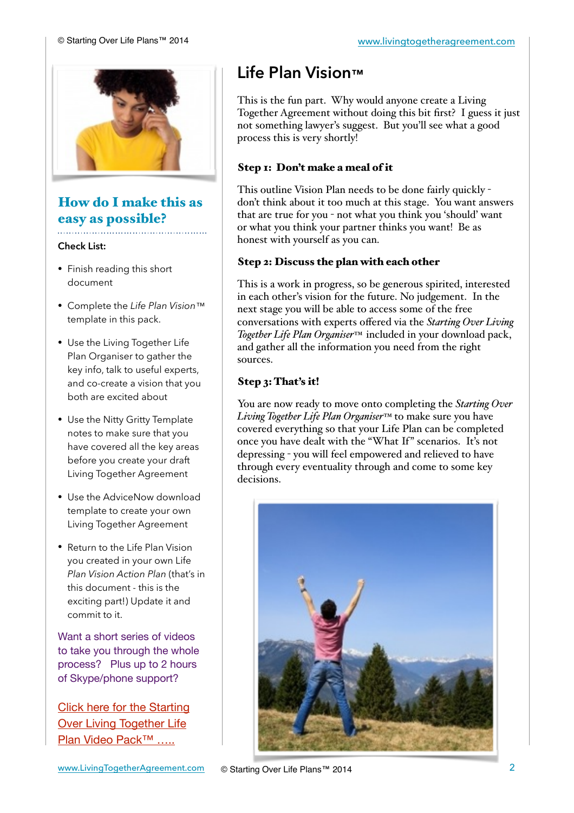

## How do I make this as easy as possible?

#### **Check List:**

- Finish reading this short document
- Complete the *Life Plan Vision™* template in this pack.
- Use the Living Together Life Plan Organiser to gather the key info, talk to useful experts, and co-create a vision that you both are excited about
- Use the Nitty Gritty Template notes to make sure that you have covered all the key areas before you create your draft Living Together Agreement
- Use the AdviceNow download template to create your own Living Together Agreement
- Return to the Life Plan Vision you created in your own Life *Plan Vision Action Plan* (that's in this document - this is the exciting part!) Update it and commit to it.

Want a short series of videos to take you through the whole process? Plus up to 2 hours of Skype/phone support?

[Click here for the Starting](http://www.livingtogetheragreement.co.uk)  Over Living Together Life Plan Video Pack™ …..

**Life Plan Vision™**

This is the fun part. Why would anyone create a Living Together Agreement without doing this bit first? I guess it just not something lawyer's suggest. But you'll see what a good process this is very shortly!

#### Step 1: Don't make a meal of it

This outline Vision Plan needs to be done fairly quickly don't think about it too much at this stage. You want answers that are true for you - not what you think you 'should' want or what you think your partner thinks you want! Be as honest with yourself as you can.

#### Step 2: Discuss the plan with each other

This is a work in progress, so be generous spirited, interested in each other's vision for the future. No judgement. In the next stage you will be able to access some of the free conversations with experts offered via the *Starting Over Living Together Life Plan Organiser™* included in your download pack, and gather all the information you need from the right sources.

#### Step 3: That's it!

You are now ready to move onto completing the *Starting Over Living Together Life Plan Organiser™* to make sure you have covered everything so that your Life Plan can be completed once you have dealt with the "What If" scenarios. It's not depressing - you will feel empowered and relieved to have through every eventuality through and come to some key decisions.

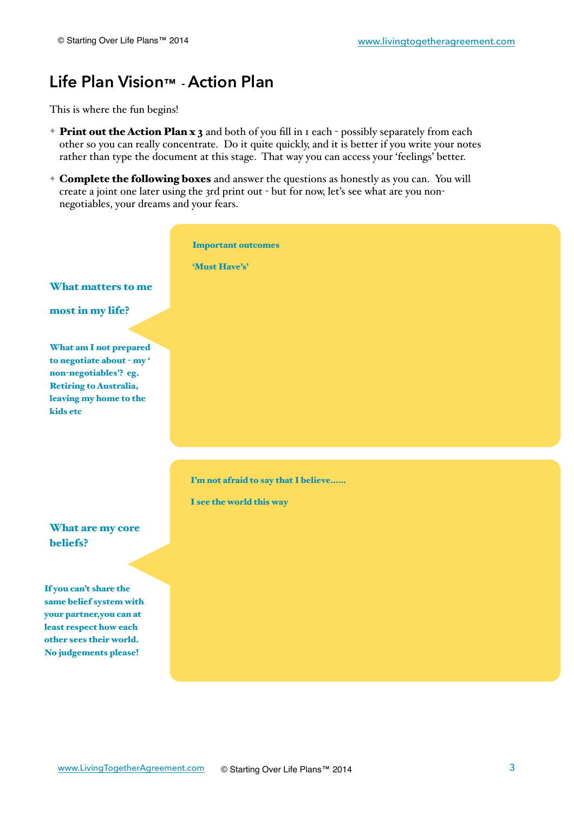## **Life Plan Vision™ - Action Plan**

This is where the fun begins!

- ✦ Print out the Action Plan x 3 and both of you fill in 1 each possibly separately from each other so you can really concentrate. Do it quite quickly, and it is better if you write your notes rather than type the document at this stage. That way you can access your 'feelings' better.
- ✦ Complete the following boxes and answer the questions as honestly as you can. You will create a joint one later using the 3rd print out - but for now, let's see what are you nonnegotiables, your dreams and your fears.

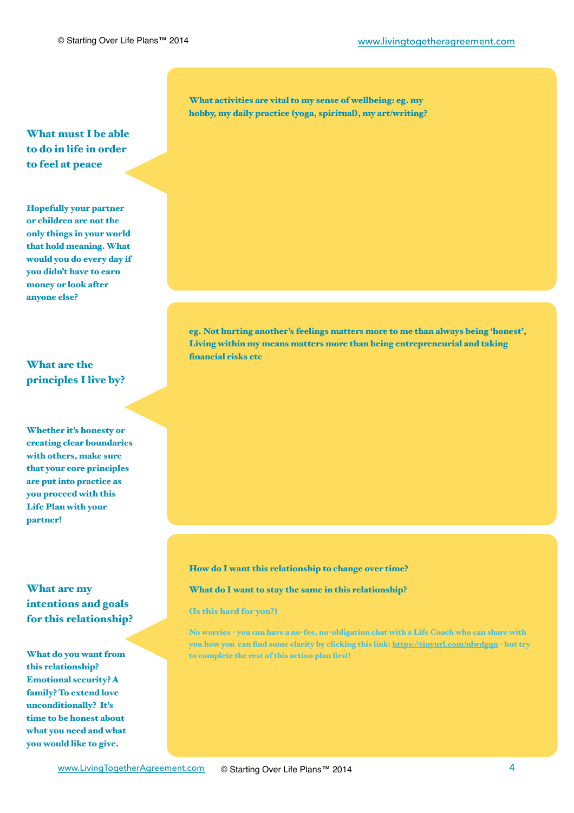## What must I be able to do in life in order to feel at peace

Hopefully your partner or children are not the only things in your world that hold meaning. What would you do every day if you didn't have to earn money or look after anyone else?

#### What are the principles I live by?

Whether it's honesty or creating clear boundaries with others, make sure that your core principles are put into practice as you proceed with this Life Plan with your partner!

What are my intentions and goals for this relationship?

this relationship? Emotional security? A family? To extend love unconditionally? It's time to be honest about what you need and what you would like to give.

What activities are vital to my sense of wellbeing: eg. my hobby, my daily practice (yoga, spiritual), my art/writing?

## Living within my means matters more than being entrepreneurial and taking financial risks etc

eg. Not hurting another's feelings matters more to me than always being 'honest',

#### How do I want this relationship to change over time?

#### What do I want to stay the same in this relationship?

#### (Is this hard for you?)

No worries - you can have a no-fee, no-obligation chat with a Life Coach who can share with you how you can find some clarity by clicking this link: <https://tinyurl.com/nlwdgqn> - but try What do you want from to complete the rest of this action plan first!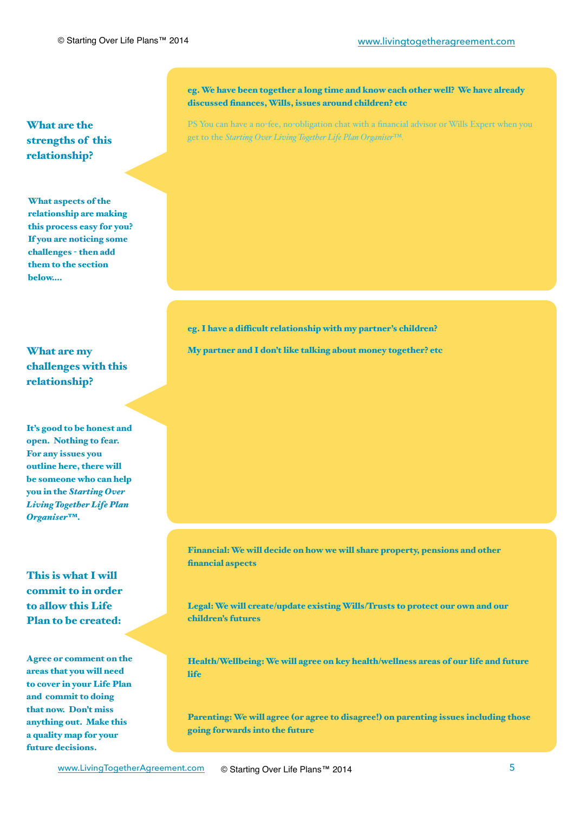eg. We have been together a long time and know each other well? We have already discussed finances, Wills, issues around children? etc

PS You can have a no-fee, no-obligation chat with a financial advisor or Wills Expert when you get to the *Starting Over Living Together Life Plan Organiser™.*

eg. I have a difficult relationship with my partner's children?

My partner and I don't like talking about money together? etc

Financial: We will decide on how we will share property, pensions and other financial aspects

Legal: We will create/update existing Wills/Trusts to protect our own and our children's futures

Health/Wellbeing: We will agree on key health/wellness areas of our life and future life

Parenting: We will agree (or agree to disagree!) on parenting issues including those going forwards into the future

## What are the strengths of this relationship?

What aspects of the relationship are making this process easy for you? If you are noticing some challenges - then add them to the section below….

What are my challenges with this relationship?

It's good to be honest and open. Nothing to fear. For any issues you outline here, there will be someone who can help you in the *Starting Over Living Together Life Plan Organiser™.*

This is what I will commit to in order to allow this Life Plan to be created:

Agree or comment on the areas that you will need to cover in your Life Plan and commit to doing that now. Don't miss anything out. Make this a quality map for your future decisions.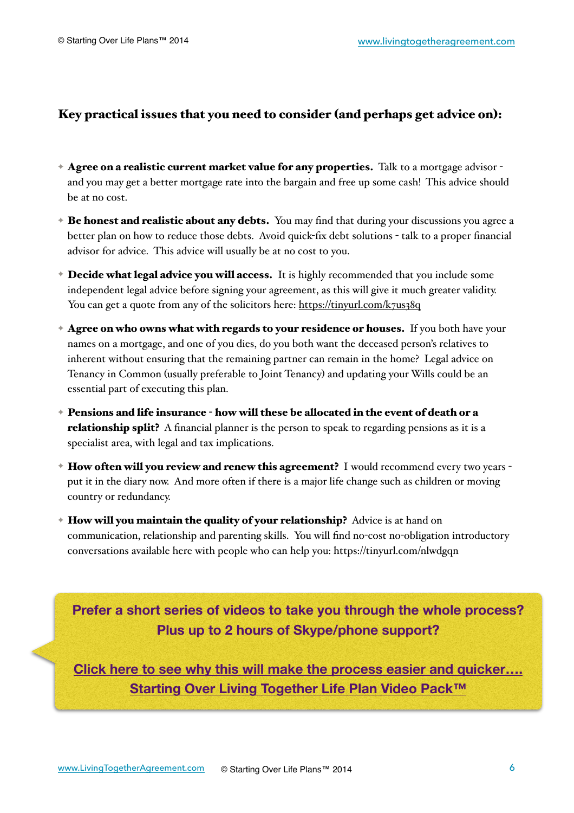### Key practical issues that you need to consider (and perhaps get advice on):

- ✦ Agree on a realistic current market value for any properties. Talk to a mortgage advisor and you may get a better mortgage rate into the bargain and free up some cash! This advice should be at no cost.
- ✦ Be honest and realistic about any debts. You may find that during your discussions you agree a better plan on how to reduce those debts. Avoid quick-fix debt solutions - talk to a proper financial advisor for advice. This advice will usually be at no cost to you.
- ✦ Decide what legal advice you will access. It is highly recommended that you include some independent legal advice before signing your agreement, as this will give it much greater validity. You can get a quote from any of the solicitors here: <https://tinyurl.com/k7us38q>
- ✦ Agree on who owns what with regards to your residence or houses. If you both have your names on a mortgage, and one of you dies, do you both want the deceased person's relatives to inherent without ensuring that the remaining partner can remain in the home? Legal advice on Tenancy in Common (usually preferable to Joint Tenancy) and updating your Wills could be an essential part of executing this plan.
- ✦ Pensions and life insurance how will these be allocated in the event of death or a relationship split? A financial planner is the person to speak to regarding pensions as it is a specialist area, with legal and tax implications.
- ✦ How often will you review and renew this agreement? I would recommend every two years put it in the diary now. And more often if there is a major life change such as children or moving country or redundancy.
- ✦ How will you maintain the quality of your relationship? Advice is at hand on communication, relationship and parenting skills. You will find no-cost no-obligation introductory conversations available here with people who can help you: https://tinyurl.com/nlwdgqn

**Prefer a short series of videos to take you through the whole process? Plus up to 2 hours of Skype/phone support?** 

**[Click here to see why this will make the process easier and quicker….](http://www.livingtogetheragreement.co.uk)  Starting Over Living Together Life Plan Video Pack™**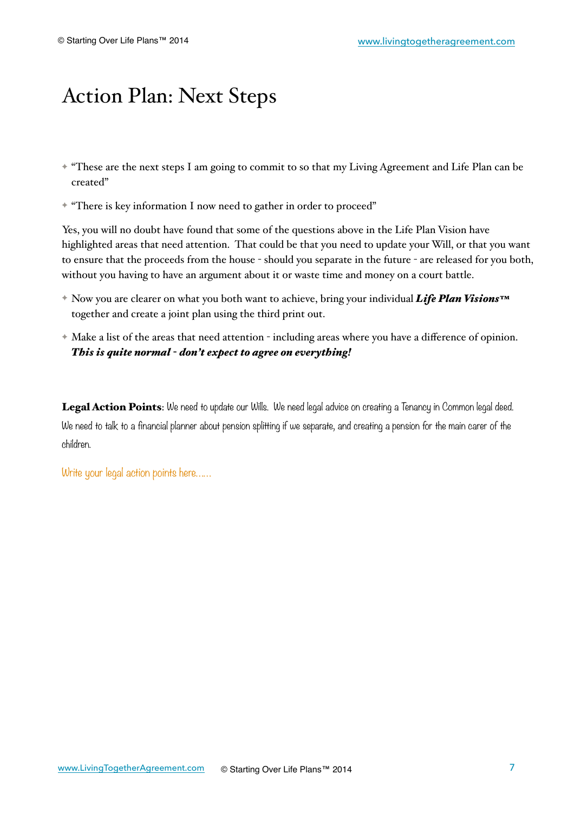## Action Plan: Next Steps

- ✦ "These are the next steps I am going to commit to so that my Living Agreement and Life Plan can be created"
- ✦ "There is key information I now need to gather in order to proceed"

Yes, you will no doubt have found that some of the questions above in the Life Plan Vision have highlighted areas that need attention. That could be that you need to update your Will, or that you want to ensure that the proceeds from the house - should you separate in the future - are released for you both, without you having to have an argument about it or waste time and money on a court battle.

- ✦ Now you are clearer on what you both want to achieve, bring your individual *Life Plan Visions™* together and create a joint plan using the third print out.
- ✦ Make a list of the areas that need attention including areas where you have a difference of opinion. *This is quite normal - don't expect to agree on everything!*

Legal Action Points: We need to update our Wills. We need legal advice on creating a Tenancy in Common legal deed. We need to talk to a financial planner about pension splitting if we separate, and creating a pension for the main carer of the children.

Write your legal action points here……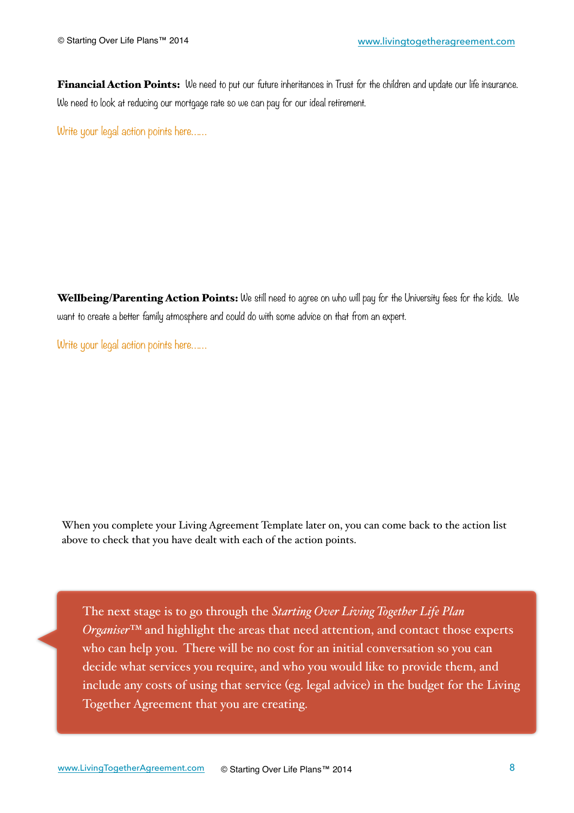Financial Action Points: We need to put our future inheritances in Trust for the children and update our life insurance. We need to look at reducing our mortgage rate so we can pay for our ideal retirement.

Write your legal action points here.....

Wellbeing/Parenting Action Points: We still need to agree on who will pay for the University fees for the kids. We want to create a better family atmosphere and could do with some advice on that from an expert.

Write your legal action points here......

When you complete your Living Agreement Template later on, you can come back to the action list above to check that you have dealt with each of the action points.

The next stage is to go through the *Starting Over Living Together Life Plan Organiser™* and highlight the areas that need attention, and contact those experts who can help you. There will be no cost for an initial conversation so you can decide what services you require, and who you would like to provide them, and include any costs of using that service (eg. legal advice) in the budget for the Living Together Agreement that you are creating.